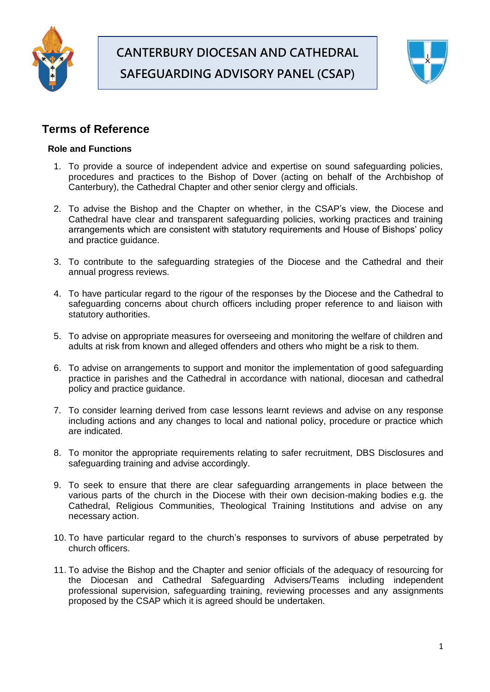

# **CANTERBURY DIOCESAN AND CATHEDRAL SAFEGUARDING ADVISORY PANEL (CSAP)**



# **Terms of Reference**

# **Role and Functions**

- 1. To provide a source of independent advice and expertise on sound safeguarding policies, procedures and practices to the Bishop of Dover (acting on behalf of the Archbishop of Canterbury), the Cathedral Chapter and other senior clergy and officials.
- 2. To advise the Bishop and the Chapter on whether, in the CSAP's view, the Diocese and Cathedral have clear and transparent safeguarding policies, working practices and training arrangements which are consistent with statutory requirements and House of Bishops' policy and practice guidance.
- 3. To contribute to the safeguarding strategies of the Diocese and the Cathedral and their annual progress reviews.
- 4. To have particular regard to the rigour of the responses by the Diocese and the Cathedral to safeguarding concerns about church officers including proper reference to and liaison with statutory authorities.
- 5. To advise on appropriate measures for overseeing and monitoring the welfare of children and adults at risk from known and alleged offenders and others who might be a risk to them.
- 6. To advise on arrangements to support and monitor the implementation of good safeguarding practice in parishes and the Cathedral in accordance with national, diocesan and cathedral policy and practice guidance.
- 7. To consider learning derived from case lessons learnt reviews and advise on any response including actions and any changes to local and national policy, procedure or practice which are indicated.
- 8. To monitor the appropriate requirements relating to safer recruitment, DBS Disclosures and safeguarding training and advise accordingly.
- 9. To seek to ensure that there are clear safeguarding arrangements in place between the various parts of the church in the Diocese with their own decision-making bodies e.g. the Cathedral, Religious Communities, Theological Training Institutions and advise on any necessary action.
- 10. To have particular regard to the church's responses to survivors of abuse perpetrated by church officers.
- 11. To advise the Bishop and the Chapter and senior officials of the adequacy of resourcing for the Diocesan and Cathedral Safeguarding Advisers/Teams including independent professional supervision, safeguarding training, reviewing processes and any assignments proposed by the CSAP which it is agreed should be undertaken.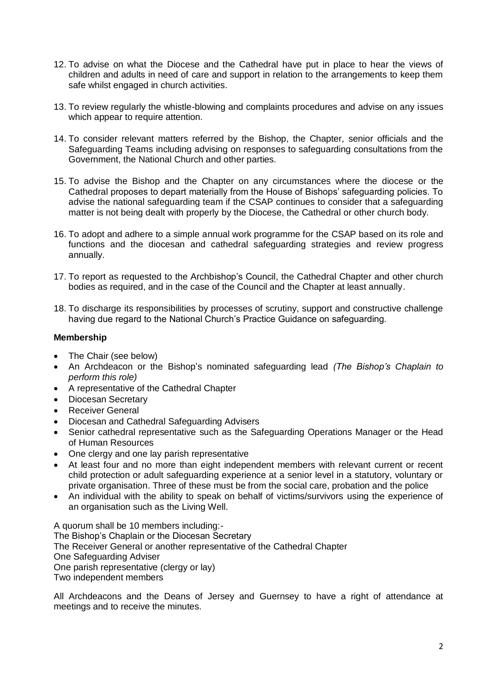- 12. To advise on what the Diocese and the Cathedral have put in place to hear the views of children and adults in need of care and support in relation to the arrangements to keep them safe whilst engaged in church activities.
- 13. To review regularly the whistle-blowing and complaints procedures and advise on any issues which appear to require attention.
- 14. To consider relevant matters referred by the Bishop, the Chapter, senior officials and the Safeguarding Teams including advising on responses to safeguarding consultations from the Government, the National Church and other parties.
- 15. To advise the Bishop and the Chapter on any circumstances where the diocese or the Cathedral proposes to depart materially from the House of Bishops' safeguarding policies. To advise the national safeguarding team if the CSAP continues to consider that a safeguarding matter is not being dealt with properly by the Diocese, the Cathedral or other church body.
- 16. To adopt and adhere to a simple annual work programme for the CSAP based on its role and functions and the diocesan and cathedral safeguarding strategies and review progress annually.
- 17. To report as requested to the Archbishop's Council, the Cathedral Chapter and other church bodies as required, and in the case of the Council and the Chapter at least annually.
- 18. To discharge its responsibilities by processes of scrutiny, support and constructive challenge having due regard to the National Church's Practice Guidance on safeguarding.

## **Membership**

- The Chair (see below)
- An Archdeacon or the Bishop's nominated safeguarding lead *(The Bishop's Chaplain to perform this role)*
- A representative of the Cathedral Chapter
- Diocesan Secretary
- Receiver General
- Diocesan and Cathedral Safeguarding Advisers
- Senior cathedral representative such as the Safeguarding Operations Manager or the Head of Human Resources
- One clergy and one lay parish representative
- At least four and no more than eight independent members with relevant current or recent child protection or adult safeguarding experience at a senior level in a statutory, voluntary or private organisation. Three of these must be from the social care, probation and the police
- An individual with the ability to speak on behalf of victims/survivors using the experience of an organisation such as the Living Well.

A quorum shall be 10 members including:- The Bishop's Chaplain or the Diocesan Secretary The Receiver General or another representative of the Cathedral Chapter One Safeguarding Adviser One parish representative (clergy or lay) Two independent members

All Archdeacons and the Deans of Jersey and Guernsey to have a right of attendance at meetings and to receive the minutes.